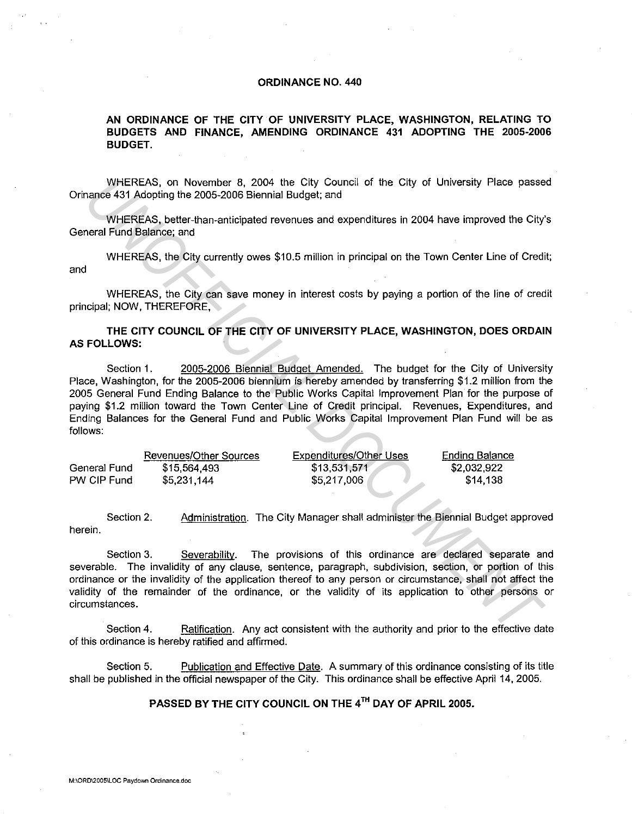## **ORDINANCE NO. 440**

## **AN ORDINANCE OF THE CITY OF UNIVERSITY PLACE, WASHINGTON, RELATING TO BUDGETS AND FINANCE, AMENDING ORDINANCE 431 ADOPTING THE 2005-2006 BUDGET.**

WHEREAS, on November 8, 2004 the City Council of the City of University Place passed Orinance 431 Adopting the 2005-2006 Biennial Budget; and

WHEREAS, better-than-anticipated revenues and expenditures in 2004 have improved the City's General Fund Balance; and

WHEREAS, the City currently owes \$10.5 million in principal on the Town Center Line of Credit; and

WHEREAS, the City can save money in interest costs by paying a portion of the line of credit principal; NOW, THEREFORE,

## **THE CITY COUNCIL OF THE CITY OF UNIVERSITY PLACE, WASHINGTON, DOES ORDAIN AS FOLLOWS:**

Section 1. 2005-2006 Biennial Budget Amended. The budget for the City of University Place, Washington, for the 2005-2006 biennium is hereby amended by transferring \$1.2 million from the 2005 General Fund Ending Balance to the Public Works Capital Improvement Plan for the purpose of paying \$1.2 million toward the Town Center Line of Credit principal. Revenues, Expenditures, and Ending Balances for the General Fund and Public Works Capital Improvement Plan Fund will be as follows: WHEREAS, on November 8, 2004 the City of the City of University Place passe<br>
WHEREAS, on November 8, 2004 the City Council of the City of University Place passe<br>
WHEREAS, beter-than-anticipated revenues and expenditures in

|              | Revenues/Other Sources | Expenditures/Other Uses | Ending Balance |
|--------------|------------------------|-------------------------|----------------|
| General Fund | \$15,564,493           | \$13,531,571            | \$2,032,922    |
| PW CIP Fund  | \$5,231,144            | \$5,217,006             | \$14.138       |

Section 2. Administration. The City Manager shall administer the Biennial Budget approved herein.

Section 3. Severability. The provisions of this ordinance are declared separate and severable. The invalidity of any clause, sentence, paragraph, subdivision, section, or portion of this ordinance or the invalidity of the application thereof to any person or circumstance, shall not affect the validity of the remainder of the ordinance, or the validity of its application to other persons or circumstances.

Section 4. Ratification. Any act consistent with the authority and prior to the effective date of this ordinance is hereby ratified and affirmed.

Section 5. Publication and Effective Date. A summary of this ordinance consisting of its title shall be published in the official newspaper of the City. This ordinance shall be effective April 14, 2005.

## **PASSED BY THE CITY COUNCIL ON THE** 4TH **DAY OF APRIL 2005.**